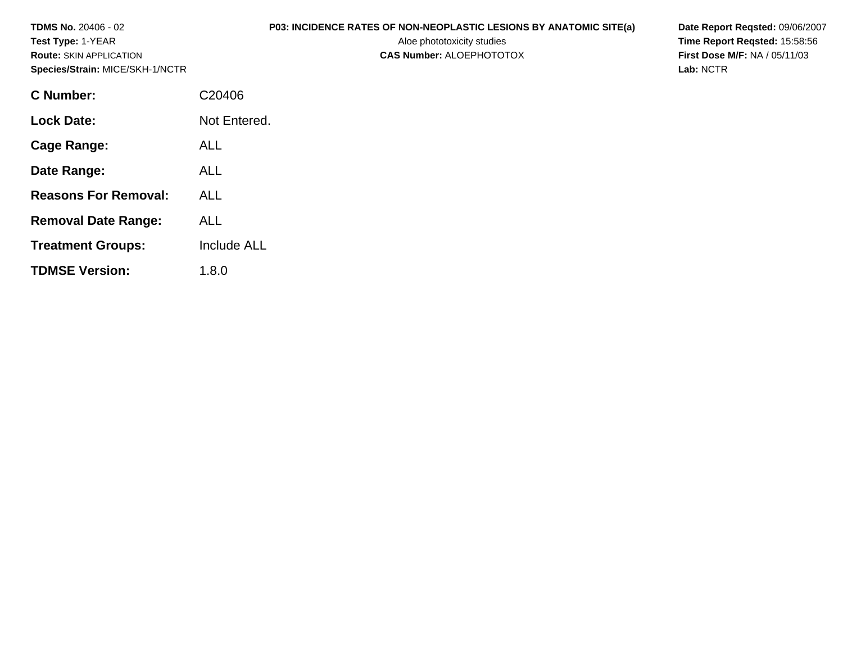| <b>TDMS No. 20406 - 02</b><br><b>Test Type: 1-YEAR</b><br><b>Route: SKIN APPLICATION</b><br>Species/Strain: MICE/SKH-1/NCTR | P03: INCIDENCE RATES OF NON-NEOPLASTIC LESIONS BY ANATOMIC SITE(a)<br>Aloe phototoxicity studies<br><b>CAS Number: ALOEPHOTOTOX</b> | Date Report Reqsted: 09/06/2007<br>Time Report Regsted: 15:58:56<br><b>First Dose M/F: NA / 05/11/03</b><br>Lab: NCTR |
|-----------------------------------------------------------------------------------------------------------------------------|-------------------------------------------------------------------------------------------------------------------------------------|-----------------------------------------------------------------------------------------------------------------------|
| <b>C</b> Number:                                                                                                            | C20406                                                                                                                              |                                                                                                                       |
| <b>Lock Date:</b>                                                                                                           | Not Entered.                                                                                                                        |                                                                                                                       |
| <b>Cage Range:</b>                                                                                                          | <b>ALL</b>                                                                                                                          |                                                                                                                       |
| Date Range:                                                                                                                 | <b>ALL</b>                                                                                                                          |                                                                                                                       |
| <b>Reasons For Removal:</b>                                                                                                 | <b>ALL</b>                                                                                                                          |                                                                                                                       |
| <b>Removal Date Range:</b>                                                                                                  | <b>ALL</b>                                                                                                                          |                                                                                                                       |
| <b>Treatment Groups:</b>                                                                                                    | Include ALL                                                                                                                         |                                                                                                                       |
| <b>TDMSE Version:</b>                                                                                                       | 1.8.0                                                                                                                               |                                                                                                                       |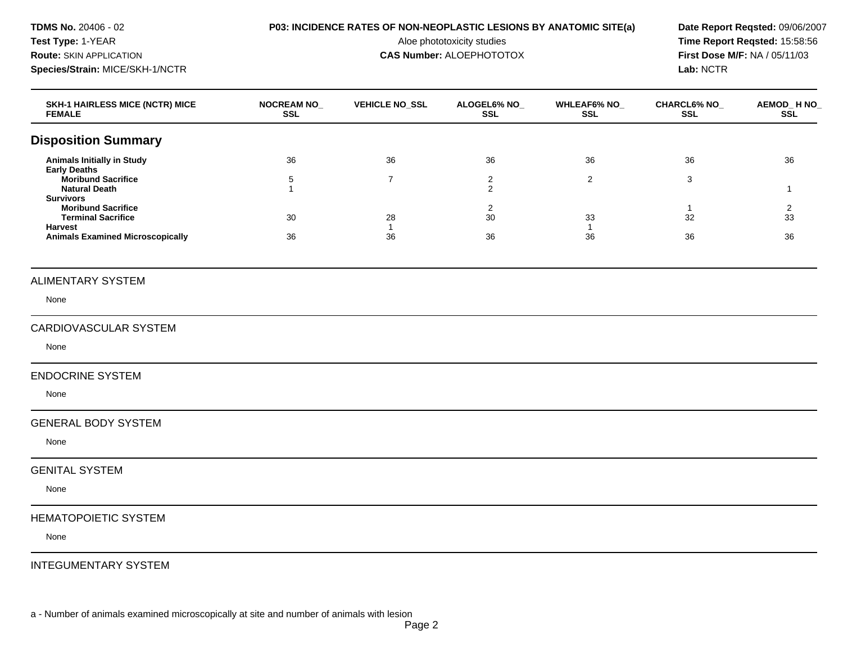Test Type: 1-YEAR **Aloe phototoxicity studies** Aloe phototoxicity studies **Time Report Reqsted: 15:58:56 Route:** SKIN APPLICATION **CAS Number:** ALOEPHOTOTOX **First Dose M/F:** NA / 05/11/03 **Species/Strain:** MICE/SKH-1/NCTR **Lab:** NCTR

## **TDMS No.** 20406 - 02 **P03: INCIDENCE RATES OF NON-NEOPLASTIC LESIONS BY ANATOMIC SITE(a) Date Report Reqsted:** 09/06/2007

| <b>SKH-1 HAIRLESS MICE (NCTR) MICE</b><br><b>FEMALE</b> | <b>NOCREAM NO_</b><br><b>SSL</b> | <b>VEHICLE NO_SSL</b> | ALOGEL6% NO_<br><b>SSL</b> | <b>WHLEAF6% NO_</b><br><b>SSL</b> | <b>CHARCL6% NO_</b><br><b>SSL</b> | AEMOD_H NO_<br><b>SSL</b> |
|---------------------------------------------------------|----------------------------------|-----------------------|----------------------------|-----------------------------------|-----------------------------------|---------------------------|
| <b>Disposition Summary</b>                              |                                  |                       |                            |                                   |                                   |                           |
| <b>Animals Initially in Study</b>                       | 36                               | 36                    | 36                         | 36                                | 36                                | 36                        |
| <b>Early Deaths</b><br><b>Moribund Sacrifice</b>        | 5                                | $\overline{7}$        | $\overline{2}$             | $\overline{2}$                    | 3                                 |                           |
| <b>Natural Death</b><br><b>Survivors</b>                | $\overline{1}$                   |                       | $\overline{2}$             |                                   |                                   | $\mathbf{1}$              |
| <b>Moribund Sacrifice</b>                               |                                  |                       | $\overline{2}$             |                                   | $\overline{1}$                    | 2                         |
| <b>Terminal Sacrifice</b><br><b>Harvest</b>             | 30                               | 28<br>$\mathbf{1}$    | 30                         | 33<br>$\mathbf{1}$                | 32                                | 33                        |
| <b>Animals Examined Microscopically</b>                 | 36                               | 36                    | 36                         | 36                                | 36                                | 36                        |
| <b>ALIMENTARY SYSTEM</b>                                |                                  |                       |                            |                                   |                                   |                           |
| None                                                    |                                  |                       |                            |                                   |                                   |                           |
| CARDIOVASCULAR SYSTEM                                   |                                  |                       |                            |                                   |                                   |                           |
| None                                                    |                                  |                       |                            |                                   |                                   |                           |
| <b>ENDOCRINE SYSTEM</b>                                 |                                  |                       |                            |                                   |                                   |                           |
| None                                                    |                                  |                       |                            |                                   |                                   |                           |
| <b>GENERAL BODY SYSTEM</b>                              |                                  |                       |                            |                                   |                                   |                           |
| None                                                    |                                  |                       |                            |                                   |                                   |                           |
| <b>GENITAL SYSTEM</b>                                   |                                  |                       |                            |                                   |                                   |                           |
| None                                                    |                                  |                       |                            |                                   |                                   |                           |
| <b>HEMATOPOIETIC SYSTEM</b>                             |                                  |                       |                            |                                   |                                   |                           |
| None                                                    |                                  |                       |                            |                                   |                                   |                           |
| <b>INTEGUMENTARY SYSTEM</b>                             |                                  |                       |                            |                                   |                                   |                           |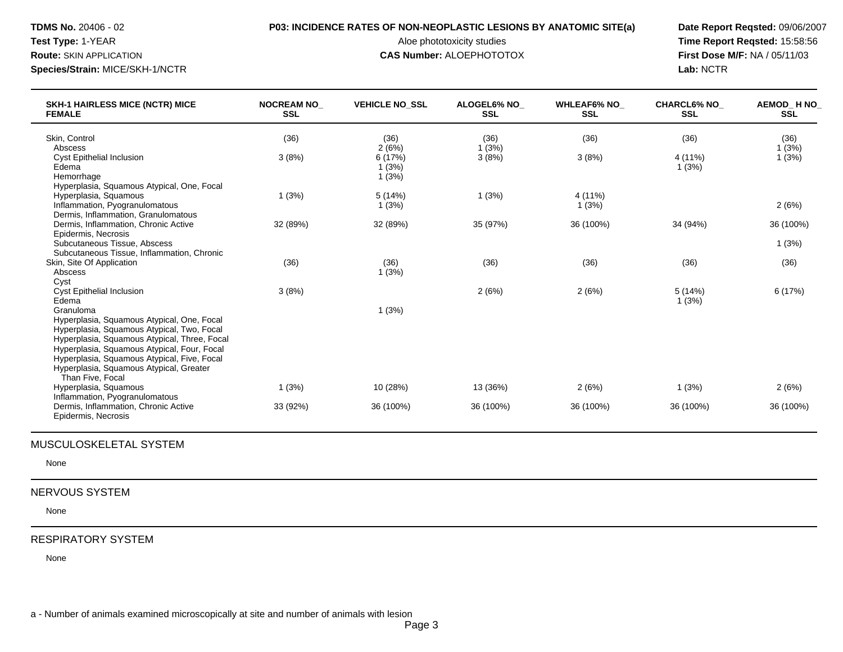## **TDMS No.** 20406 - 02 **P03: INCIDENCE RATES OF NON-NEOPLASTIC LESIONS BY ANATOMIC SITE(a) Date Report Reqsted:** 09/06/2007

#### **Route:** SKIN APPLICATION **CAS Number:** ALOEPHOTOTOX **First Dose M/F:** NA / 05/11/03

Test Type: 1-YEAR **Aloe phototoxicity studies** Aloe phototoxicity studies **Time Report Reqsted: 15:58:56 Species/Strain:** MICE/SKH-1/NCTR **Lab:** NCTR

| <b>SKH-1 HAIRLESS MICE (NCTR) MICE</b><br><b>FEMALE</b>             | <b>NOCREAM NO</b><br><b>SSL</b> | <b>VEHICLE NO SSL</b> | <b>ALOGEL6% NO</b><br><b>SSL</b> | <b>WHLEAF6% NO</b><br><b>SSL</b> | <b>CHARCL6% NO</b><br><b>SSL</b> | AEMOD HNO<br><b>SSL</b> |
|---------------------------------------------------------------------|---------------------------------|-----------------------|----------------------------------|----------------------------------|----------------------------------|-------------------------|
| Skin, Control                                                       | (36)                            | (36)                  | (36)                             | (36)                             | (36)                             | (36)                    |
| Abscess                                                             |                                 | 2(6%)                 | 1(3%)                            |                                  |                                  | 1(3%)                   |
| <b>Cyst Epithelial Inclusion</b>                                    | 3(8%)                           | 6(17%)                | 3(8%)                            | 3(8%)                            | 4 (11%)                          | 1(3%)                   |
| Edema                                                               |                                 | 1(3%)                 |                                  |                                  | 1(3%)                            |                         |
| Hemorrhage                                                          |                                 | 1(3%)                 |                                  |                                  |                                  |                         |
| Hyperplasia, Squamous Atypical, One, Focal<br>Hyperplasia, Squamous | 1(3%)                           | 5(14%)                | 1(3%)                            | 4 (11%)                          |                                  |                         |
| Inflammation, Pyogranulomatous                                      |                                 | 1(3%)                 |                                  | 1(3%)                            |                                  | 2(6%)                   |
| Dermis, Inflammation, Granulomatous                                 |                                 |                       |                                  |                                  |                                  |                         |
| Dermis, Inflammation, Chronic Active                                | 32 (89%)                        | 32 (89%)              | 35 (97%)                         | 36 (100%)                        | 34 (94%)                         | 36 (100%)               |
| Epidermis, Necrosis                                                 |                                 |                       |                                  |                                  |                                  |                         |
| Subcutaneous Tissue, Abscess                                        |                                 |                       |                                  |                                  |                                  | 1(3%)                   |
| Subcutaneous Tissue, Inflammation, Chronic                          |                                 |                       |                                  |                                  |                                  |                         |
| Skin, Site Of Application                                           | (36)                            | (36)                  | (36)                             | (36)                             | (36)                             | (36)                    |
| Abscess                                                             |                                 | 1(3%)                 |                                  |                                  |                                  |                         |
| Cyst                                                                |                                 |                       |                                  |                                  |                                  |                         |
| <b>Cyst Epithelial Inclusion</b>                                    | 3(8%)                           |                       | 2(6%)                            | 2(6%)                            | 5(14%)                           | 6(17%)                  |
| Edema                                                               |                                 |                       |                                  |                                  | 1(3%)                            |                         |
| Granuloma<br>Hyperplasia, Squamous Atypical, One, Focal             |                                 | 1(3%)                 |                                  |                                  |                                  |                         |
| Hyperplasia, Squamous Atypical, Two, Focal                          |                                 |                       |                                  |                                  |                                  |                         |
| Hyperplasia, Squamous Atypical, Three, Focal                        |                                 |                       |                                  |                                  |                                  |                         |
| Hyperplasia, Squamous Atypical, Four, Focal                         |                                 |                       |                                  |                                  |                                  |                         |
| Hyperplasia, Squamous Atypical, Five, Focal                         |                                 |                       |                                  |                                  |                                  |                         |
| Hyperplasia, Squamous Atypical, Greater                             |                                 |                       |                                  |                                  |                                  |                         |
| Than Five, Focal                                                    |                                 |                       |                                  |                                  |                                  |                         |
| Hyperplasia, Squamous                                               | 1(3%)                           | 10 (28%)              | 13 (36%)                         | 2(6%)                            | 1(3%)                            | 2(6%)                   |
| Inflammation, Pyogranulomatous                                      |                                 |                       |                                  |                                  |                                  |                         |
| Dermis, Inflammation, Chronic Active<br>Epidermis, Necrosis         | 33 (92%)                        | 36 (100%)             | 36 (100%)                        | 36 (100%)                        | 36 (100%)                        | 36 (100%)               |

## MUSCULOSKELETAL SYSTEM

None

## NERVOUS SYSTEM

None

#### RESPIRATORY SYSTEM

None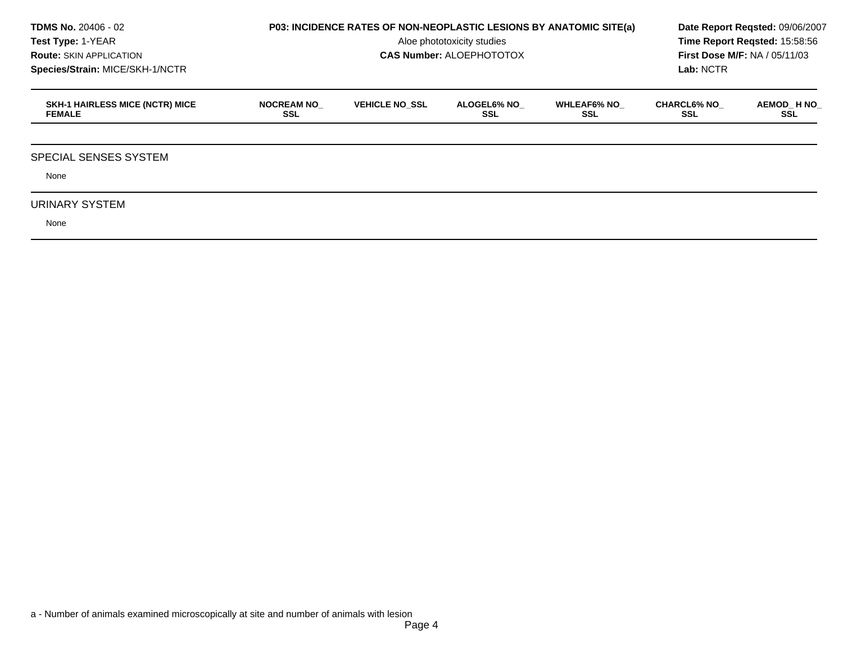| <b>TDMS No. 20406 - 02</b><br>Test Type: 1-YEAR<br><b>Route: SKIN APPLICATION</b><br>Species/Strain: MICE/SKH-1/NCTR | P03: INCIDENCE RATES OF NON-NEOPLASTIC LESIONS BY ANATOMIC SITE(a) | Date Report Regsted: 09/06/2007<br>Time Report Reqsted: 15:58:56<br><b>First Dose M/F: NA / 05/11/03</b><br>Lab: NCTR |                           |                           |                           |                    |
|----------------------------------------------------------------------------------------------------------------------|--------------------------------------------------------------------|-----------------------------------------------------------------------------------------------------------------------|---------------------------|---------------------------|---------------------------|--------------------|
| <b>SKH-1 HAIRLESS MICE (NCTR) MICE</b><br><b>FEMALE</b>                                                              | <b>NOCREAM NO</b><br><b>SSL</b>                                    | <b>VEHICLE NO SSL</b>                                                                                                 | <b>ALOGEL6% NO</b><br>SSL | <b>WHLEAF6% NO</b><br>SSL | <b>CHARCL6% NO</b><br>SSL | AEMOD_H NO_<br>SSL |
| <b>SPECIAL SENSES SYSTEM</b>                                                                                         |                                                                    |                                                                                                                       |                           |                           |                           |                    |
| None<br>URINARY SYSTEM<br>None                                                                                       |                                                                    |                                                                                                                       |                           |                           |                           |                    |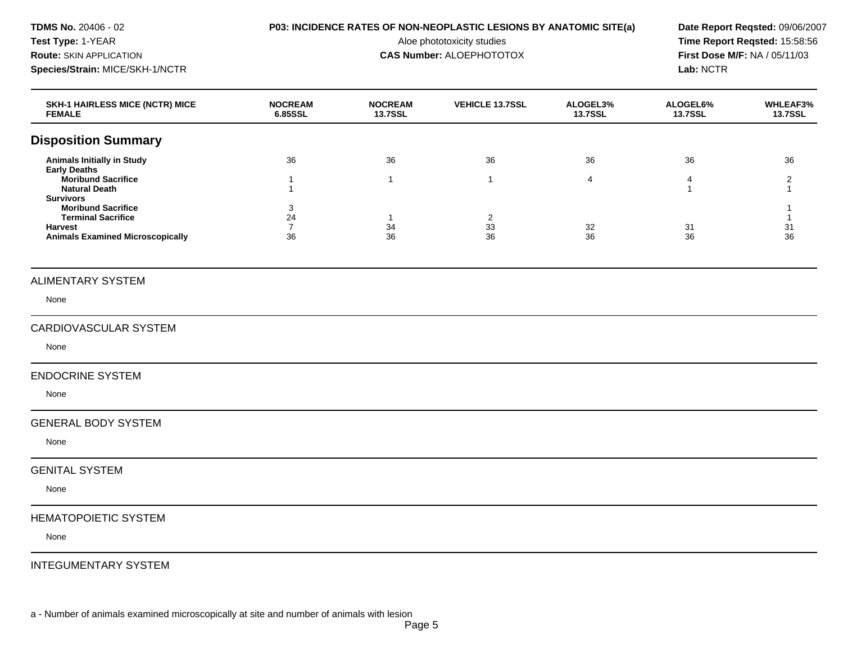Test Type: 1-YEAR **Aloe phototoxicity studies** Aloe phototoxicity studies **Time Report Reqsted: 15:58:56 Route:** SKIN APPLICATION **CAS Number:** ALOEPHOTOTOX **First Dose M/F:** NA / 05/11/03 **Species/Strain:** MICE/SKH-1/NCTR **Lab:** NCTR

## **TDMS No.** 20406 - 02 **P03: INCIDENCE RATES OF NON-NEOPLASTIC LESIONS BY ANATOMIC SITE(a) Date Report Reqsted:** 09/06/2007

| <b>SKH-1 HAIRLESS MICE (NCTR) MICE</b><br><b>FEMALE</b>                                      | <b>NOCREAM</b><br>6.85SSL | <b>NOCREAM</b><br><b>13.7SSL</b> | <b>VEHICLE 13.7SSL</b> | ALOGEL3%<br><b>13.7SSL</b> | ALOGEL6%<br><b>13.7SSL</b> | <b>WHLEAF3%</b><br>13.7SSL     |
|----------------------------------------------------------------------------------------------|---------------------------|----------------------------------|------------------------|----------------------------|----------------------------|--------------------------------|
| <b>Disposition Summary</b>                                                                   |                           |                                  |                        |                            |                            |                                |
| <b>Animals Initially in Study</b>                                                            | 36                        | 36                               | 36                     | 36                         | 36                         | 36                             |
| <b>Early Deaths</b><br><b>Moribund Sacrifice</b><br><b>Natural Death</b><br><b>Survivors</b> | 1<br>1                    | $\mathbf{1}$                     | $\mathbf{1}$           | 4                          | 4<br>$\overline{1}$        | $\overline{2}$<br>$\mathbf{1}$ |
| <b>Moribund Sacrifice</b><br><b>Terminal Sacrifice</b><br><b>Harvest</b>                     | 3<br>24<br>$\overline{7}$ | $\mathbf{1}$<br>34               | $\overline{2}$<br>33   | 32                         | 31                         | -1<br>$\mathbf{1}$<br>31       |
| <b>Animals Examined Microscopically</b>                                                      | 36                        | 36                               | 36                     | 36                         | 36                         | 36                             |
| <b>ALIMENTARY SYSTEM</b>                                                                     |                           |                                  |                        |                            |                            |                                |
| None                                                                                         |                           |                                  |                        |                            |                            |                                |
| CARDIOVASCULAR SYSTEM                                                                        |                           |                                  |                        |                            |                            |                                |
| None                                                                                         |                           |                                  |                        |                            |                            |                                |
| <b>ENDOCRINE SYSTEM</b>                                                                      |                           |                                  |                        |                            |                            |                                |
| None                                                                                         |                           |                                  |                        |                            |                            |                                |
| <b>GENERAL BODY SYSTEM</b>                                                                   |                           |                                  |                        |                            |                            |                                |
| None                                                                                         |                           |                                  |                        |                            |                            |                                |
| <b>GENITAL SYSTEM</b>                                                                        |                           |                                  |                        |                            |                            |                                |
| None                                                                                         |                           |                                  |                        |                            |                            |                                |
| <b>HEMATOPOIETIC SYSTEM</b>                                                                  |                           |                                  |                        |                            |                            |                                |
| None                                                                                         |                           |                                  |                        |                            |                            |                                |
| <b>INTEGUMENTARY SYSTEM</b>                                                                  |                           |                                  |                        |                            |                            |                                |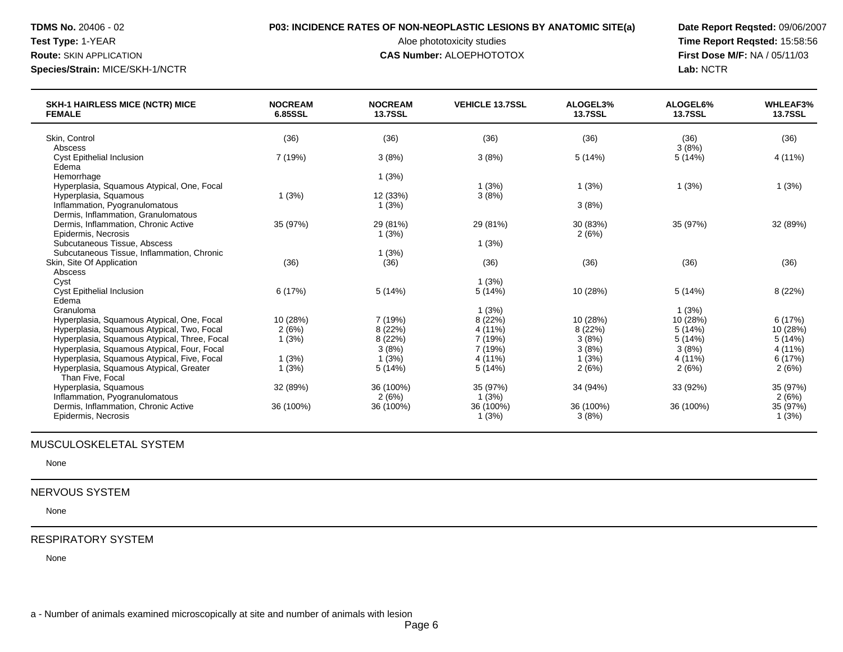# **TDMS No.** 20406 - 02 **P03: INCIDENCE RATES OF NON-NEOPLASTIC LESIONS BY ANATOMIC SITE(a) Date Report Reqsted:** 09/06/2007

#### **Route:** SKIN APPLICATION **CAS Number:** ALOEPHOTOTOX **First Dose M/F:** NA / 05/11/03

Test Type: 1-YEAR **Aloe phototoxicity studies** Aloe phototoxicity studies **Time Report Reqsted: 15:58:56 Species/Strain:** MICE/SKH-1/NCTR **Lab:** NCTR

| <b>SKH-1 HAIRLESS MICE (NCTR) MICE</b><br><b>FEMALE</b>                                    | <b>NOCREAM</b><br>6.85SSL | <b>NOCREAM</b><br><b>13.7SSL</b> | <b>VEHICLE 13.7SSL</b> | ALOGEL3%<br><b>13.7SSL</b> | ALOGEL6%<br><b>13.7SSL</b> | <b>WHLEAF3%</b><br><b>13.7SSL</b> |
|--------------------------------------------------------------------------------------------|---------------------------|----------------------------------|------------------------|----------------------------|----------------------------|-----------------------------------|
| Skin, Control                                                                              | (36)                      | (36)                             | (36)                   | (36)                       | (36)                       | (36)                              |
| Abscess                                                                                    |                           |                                  |                        |                            | 3(8%)                      |                                   |
| <b>Cyst Epithelial Inclusion</b>                                                           | 7 (19%)                   | 3(8%)                            | 3(8%)                  | 5(14%)                     | 5(14%)                     | 4 (11%)                           |
| Edema                                                                                      |                           |                                  |                        |                            |                            |                                   |
| Hemorrhage                                                                                 |                           | 1(3%)                            |                        |                            |                            |                                   |
| Hyperplasia, Squamous Atypical, One, Focal                                                 |                           |                                  | 1(3%)                  | 1(3%)                      | 1(3%)                      | 1(3%)                             |
| Hyperplasia, Squamous                                                                      | 1(3%)                     | 12 (33%)                         | 3(8%)                  |                            |                            |                                   |
| Inflammation, Pyogranulomatous                                                             |                           | 1(3%)                            |                        | 3(8%)                      |                            |                                   |
| Dermis, Inflammation, Granulomatous                                                        |                           |                                  |                        |                            |                            |                                   |
| Dermis, Inflammation, Chronic Active                                                       | 35 (97%)                  | 29 (81%)                         | 29 (81%)               | 30 (83%)                   | 35 (97%)                   | 32 (89%)                          |
| Epidermis, Necrosis                                                                        |                           | 1(3%)                            |                        | 2(6%)                      |                            |                                   |
| Subcutaneous Tissue, Abscess                                                               |                           |                                  | 1(3%)                  |                            |                            |                                   |
| Subcutaneous Tissue, Inflammation, Chronic                                                 |                           | 1(3%)                            |                        |                            |                            |                                   |
| Skin, Site Of Application                                                                  | (36)                      | (36)                             | (36)                   | (36)                       | (36)                       | (36)                              |
| Abscess                                                                                    |                           |                                  |                        |                            |                            |                                   |
| Cyst                                                                                       |                           |                                  | 1(3%)                  |                            |                            |                                   |
| <b>Cyst Epithelial Inclusion</b>                                                           | 6(17%)                    | 5(14%)                           | 5(14%)                 | 10 (28%)                   | 5(14%)                     | 8(22%)                            |
| Edema                                                                                      |                           |                                  |                        |                            |                            |                                   |
| Granuloma                                                                                  |                           |                                  | 1(3%)                  |                            | 1(3%)                      |                                   |
| Hyperplasia, Squamous Atypical, One, Focal                                                 | 10 (28%)                  | 7 (19%)                          | 8(22%)                 | 10 (28%)                   | 10 (28%)                   | 6(17%)                            |
| Hyperplasia, Squamous Atypical, Two, Focal                                                 | 2(6%)                     | 8(22%)                           | 4 (11%)                | 8 (22%)                    | 5(14%)                     | 10 (28%)                          |
| Hyperplasia, Squamous Atypical, Three, Focal                                               | 1(3%)                     | 8(22%)<br>3(8%)                  | 7 (19%)                | 3(8%)                      | 5(14%)                     | 5(14%)<br>4(11%)                  |
| Hyperplasia, Squamous Atypical, Four, Focal<br>Hyperplasia, Squamous Atypical, Five, Focal | 1(3%)                     | (3%)                             | 7 (19%)                | 3(8%)<br>1(3%)             | 3(8%)<br>4 (11%)           | 6(17%)                            |
|                                                                                            | 1(3%)                     | 5(14%)                           | 4 (11%)                |                            |                            |                                   |
| Hyperplasia, Squamous Atypical, Greater<br>Than Five, Focal                                |                           |                                  | 5(14%)                 | 2(6%)                      | 2(6%)                      | 2(6%)                             |
| Hyperplasia, Squamous                                                                      | 32 (89%)                  | 36 (100%)                        | 35 (97%)               | 34 (94%)                   | 33 (92%)                   | 35 (97%)                          |
| Inflammation, Pyogranulomatous                                                             |                           | 2(6%)                            | 1(3%)                  |                            |                            | 2(6%)                             |
| Dermis, Inflammation, Chronic Active                                                       | 36 (100%)                 | 36 (100%)                        | 36 (100%)              | 36 (100%)                  | 36 (100%)                  | 35 (97%)                          |
| Epidermis, Necrosis                                                                        |                           |                                  | 1(3%)                  | 3(8%)                      |                            | 1(3%)                             |
|                                                                                            |                           |                                  |                        |                            |                            |                                   |

## MUSCULOSKELETAL SYSTEM

None

## NERVOUS SYSTEM

None

#### RESPIRATORY SYSTEM

None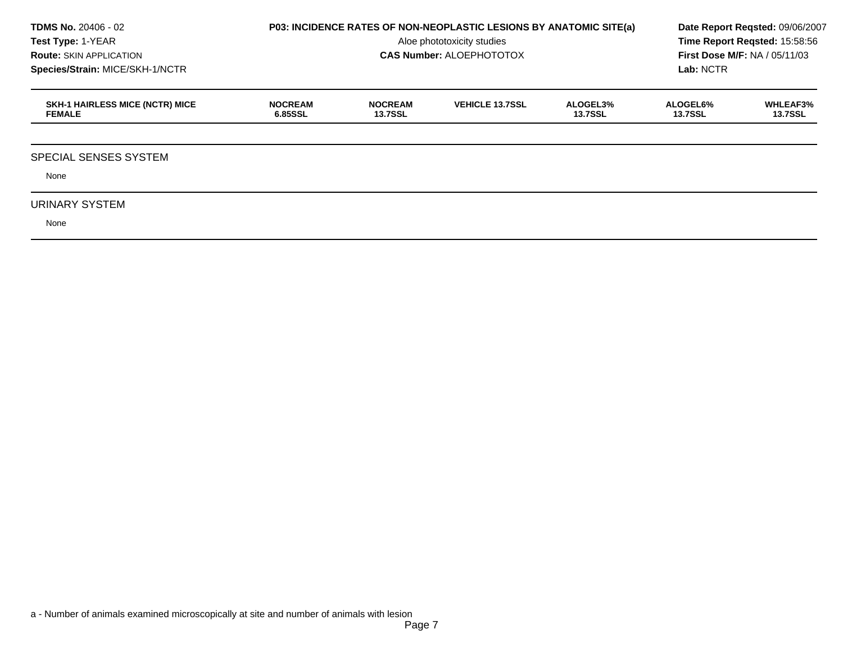| <b>TDMS No. 20406 - 02</b><br><b>Test Type: 1-YEAR</b><br><b>Route: SKIN APPLICATION</b><br>Species/Strain: MICE/SKH-1/NCTR | <b>P03: INCIDENCE RATES OF NON-NEOPLASTIC LESIONS BY ANATOMIC SITE(a)</b> | Date Report Regsted: 09/06/2007<br>Time Report Reqsted: 15:58:56<br><b>First Dose M/F: NA / 05/11/03</b><br>Lab: NCTR |                        |                            |                            |                                   |
|-----------------------------------------------------------------------------------------------------------------------------|---------------------------------------------------------------------------|-----------------------------------------------------------------------------------------------------------------------|------------------------|----------------------------|----------------------------|-----------------------------------|
| <b>SKH-1 HAIRLESS MICE (NCTR) MICE</b><br><b>FEMALE</b>                                                                     | <b>NOCREAM</b><br>6.85SSL                                                 | <b>NOCREAM</b><br><b>13.7SSL</b>                                                                                      | <b>VEHICLE 13.7SSL</b> | ALOGEL3%<br><b>13.7SSL</b> | ALOGEL6%<br><b>13.7SSL</b> | <b>WHLEAF3%</b><br><b>13.7SSL</b> |
| <b>SPECIAL SENSES SYSTEM</b>                                                                                                |                                                                           |                                                                                                                       |                        |                            |                            |                                   |
| None<br>URINARY SYSTEM                                                                                                      |                                                                           |                                                                                                                       |                        |                            |                            |                                   |
| None                                                                                                                        |                                                                           |                                                                                                                       |                        |                            |                            |                                   |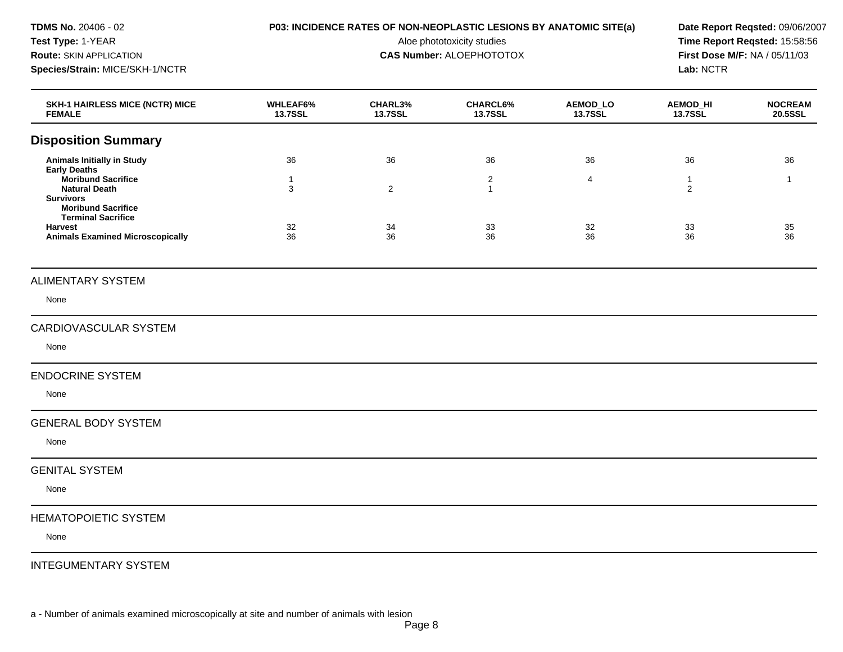| <b>TDMS No. 20406 - 02</b><br>Test Type: 1-YEAR<br><b>Route: SKIN APPLICATION</b><br>Species/Strain: MICE/SKH-1/NCTR      | P03: INCIDENCE RATES OF NON-NEOPLASTIC LESIONS BY ANATOMIC SITE(a) | Date Report Reqsted: 09/06/2007<br>Time Report Reqsted: 15:58:56<br>First Dose M/F: NA / 05/11/03<br>Lab: NCTR |                                   |                            |                                   |                           |
|---------------------------------------------------------------------------------------------------------------------------|--------------------------------------------------------------------|----------------------------------------------------------------------------------------------------------------|-----------------------------------|----------------------------|-----------------------------------|---------------------------|
| <b>SKH-1 HAIRLESS MICE (NCTR) MICE</b><br><b>FEMALE</b>                                                                   | WHLEAF6%<br><b>13.7SSL</b>                                         | CHARL3%<br><b>13.7SSL</b>                                                                                      | <b>CHARCL6%</b><br><b>13.7SSL</b> | AEMOD_LO<br><b>13.7SSL</b> | <b>AEMOD_HI</b><br><b>13.7SSL</b> | <b>NOCREAM</b><br>20.5SSL |
| <b>Disposition Summary</b>                                                                                                |                                                                    |                                                                                                                |                                   |                            |                                   |                           |
| <b>Animals Initially in Study</b>                                                                                         | 36                                                                 | 36                                                                                                             | 36                                | 36                         | 36                                | 36                        |
| <b>Early Deaths</b><br><b>Moribund Sacrifice</b><br><b>Natural Death</b><br><b>Survivors</b><br><b>Moribund Sacrifice</b> | -1<br>3                                                            | $\overline{2}$                                                                                                 | 2<br>$\mathbf{1}$                 | 4                          | 1<br>$\overline{2}$               | -1                        |
| <b>Terminal Sacrifice</b><br><b>Harvest</b><br><b>Animals Examined Microscopically</b>                                    | 32<br>36                                                           | 34<br>36                                                                                                       | 33<br>36                          | 32<br>36                   | 33<br>36                          | 35<br>36                  |
| <b>ALIMENTARY SYSTEM</b>                                                                                                  |                                                                    |                                                                                                                |                                   |                            |                                   |                           |
| None                                                                                                                      |                                                                    |                                                                                                                |                                   |                            |                                   |                           |
| <b>CARDIOVASCULAR SYSTEM</b>                                                                                              |                                                                    |                                                                                                                |                                   |                            |                                   |                           |
| None                                                                                                                      |                                                                    |                                                                                                                |                                   |                            |                                   |                           |
| <b>ENDOCRINE SYSTEM</b>                                                                                                   |                                                                    |                                                                                                                |                                   |                            |                                   |                           |
| None                                                                                                                      |                                                                    |                                                                                                                |                                   |                            |                                   |                           |
| <b>GENERAL BODY SYSTEM</b>                                                                                                |                                                                    |                                                                                                                |                                   |                            |                                   |                           |
| None                                                                                                                      |                                                                    |                                                                                                                |                                   |                            |                                   |                           |

# GENITAL SYSTEM

None

# HEMATOPOIETIC SYSTEM

None

#### INTEGUMENTARY SYSTEM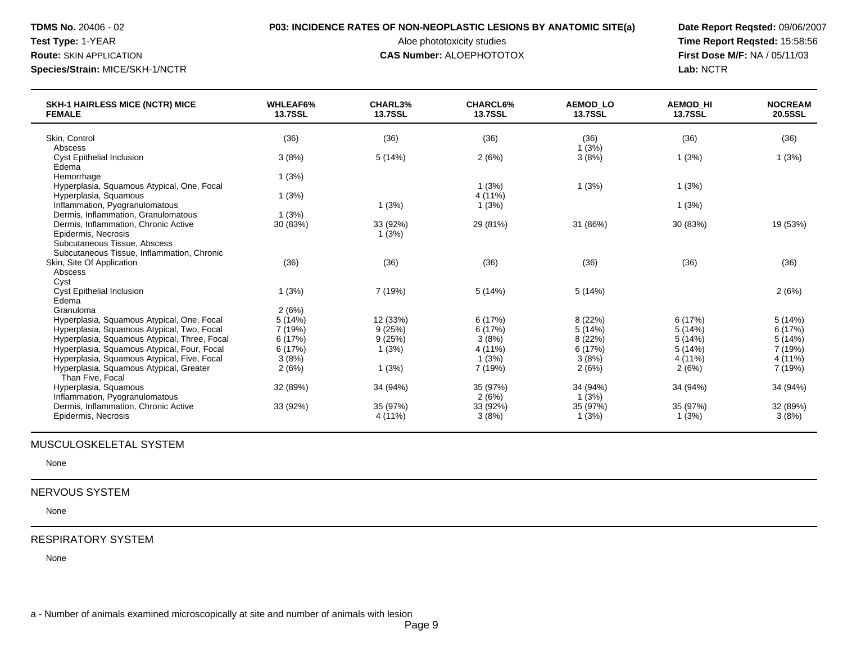# **TDMS No.** 20406 - 02 **P03: INCIDENCE RATES OF NON-NEOPLASTIC LESIONS BY ANATOMIC SITE(a) Date Report Reqsted:** 09/06/2007

#### **Route:** SKIN APPLICATION **CAS Number:** ALOEPHOTOTOX **First Dose M/F:** NA / 05/11/03

Test Type: 1-YEAR **Aloe phototoxicity studies** Aloe phototoxicity studies **Time Report Reqsted: 15:58:56 Species/Strain:** MICE/SKH-1/NCTR **Lab:** NCTR

| <b>SKH-1 HAIRLESS MICE (NCTR) MICE</b><br><b>FEMALE</b> | <b>WHLEAF6%</b><br><b>13.7SSL</b> | CHARL3%<br><b>13.7SSL</b> | <b>CHARCL6%</b><br><b>13.7SSL</b> | <b>AEMOD LO</b><br><b>13.7SSL</b> | <b>AEMOD HI</b><br><b>13.7SSL</b> | <b>NOCREAM</b><br>20.5SSL |
|---------------------------------------------------------|-----------------------------------|---------------------------|-----------------------------------|-----------------------------------|-----------------------------------|---------------------------|
| Skin, Control                                           | (36)                              | (36)                      | (36)                              | (36)                              | (36)                              | (36)                      |
| Abscess                                                 |                                   |                           |                                   | 1(3%)                             |                                   |                           |
| <b>Cyst Epithelial Inclusion</b>                        | 3(8%)                             | 5(14%)                    | 2(6%)                             | 3(8%)                             | 1(3%)                             | 1(3%)                     |
| Edema                                                   |                                   |                           |                                   |                                   |                                   |                           |
| Hemorrhage                                              | 1(3%)                             |                           |                                   |                                   |                                   |                           |
| Hyperplasia, Squamous Atypical, One, Focal              |                                   |                           | 1(3%)                             | 1(3%)                             | 1(3%)                             |                           |
| Hyperplasia, Squamous                                   | 1(3%)                             |                           | 4(11%)                            |                                   |                                   |                           |
| Inflammation, Pyogranulomatous                          |                                   | 1(3%)                     | 1(3%)                             |                                   | 1(3%)                             |                           |
| Dermis, Inflammation, Granulomatous                     | 1(3%)                             |                           |                                   |                                   |                                   |                           |
| Dermis, Inflammation, Chronic Active                    | 30 (83%)                          | 33 (92%)                  | 29 (81%)                          | 31 (86%)                          | 30 (83%)                          | 19 (53%)                  |
| Epidermis, Necrosis                                     |                                   | 1(3%)                     |                                   |                                   |                                   |                           |
| Subcutaneous Tissue, Abscess                            |                                   |                           |                                   |                                   |                                   |                           |
| Subcutaneous Tissue, Inflammation, Chronic              |                                   |                           |                                   |                                   |                                   |                           |
| Skin, Site Of Application                               | (36)                              | (36)                      | (36)                              | (36)                              | (36)                              | (36)                      |
| Abscess                                                 |                                   |                           |                                   |                                   |                                   |                           |
| Cyst                                                    |                                   |                           |                                   |                                   |                                   |                           |
| <b>Cyst Epithelial Inclusion</b>                        | 1(3%)                             | 7 (19%)                   | 5(14%)                            | 5(14%)                            |                                   | 2(6%)                     |
| Edema                                                   |                                   |                           |                                   |                                   |                                   |                           |
| Granuloma                                               | 2(6%)                             |                           |                                   |                                   |                                   |                           |
| Hyperplasia, Squamous Atypical, One, Focal              | 5(14%)                            | 12 (33%)                  | 6(17%)                            | 8 (22%)                           | 6(17%)                            | 5(14%)                    |
| Hyperplasia, Squamous Atypical, Two, Focal              | 7 (19%)                           | 9(25%)                    | 6 (17%)                           | 5 (14%)                           | 5(14%)                            | 6 (17%)                   |
| Hyperplasia, Squamous Atypical, Three, Focal            | 6(17%)                            | 9(25%)                    | 3(8%)                             | 8(22%)                            | 5(14%)                            | 5(14%)                    |
| Hyperplasia, Squamous Atypical, Four, Focal             | 6(17%)                            | 1(3%)                     | 4(11%)                            | 6(17%)                            | 5(14%)                            | 7 (19%)                   |
| Hyperplasia, Squamous Atypical, Five, Focal             | 3(8%)                             |                           | 1(3%)                             | 3(8%)                             | 4(11%)                            | 4 (11%)                   |
| Hyperplasia, Squamous Atypical, Greater                 | 2(6%)                             | 1(3%)                     | 7 (19%)                           | 2(6%)                             | 2(6%)                             | 7 (19%)                   |
| Than Five, Focal                                        |                                   |                           |                                   |                                   |                                   |                           |
| Hyperplasia, Squamous                                   | 32 (89%)                          | 34 (94%)                  | 35 (97%)                          | 34 (94%)                          | 34 (94%)                          | 34 (94%)                  |
| Inflammation, Pyogranulomatous                          |                                   |                           | 2(6%)                             | 1(3%)                             |                                   |                           |
| Dermis, Inflammation, Chronic Active                    | 33 (92%)                          | 35 (97%)                  | 33 (92%)                          | 35 (97%)                          | 35 (97%)                          | 32 (89%)                  |
| Epidermis, Necrosis                                     |                                   | 4 (11%)                   | 3(8%)                             | 1(3%)                             | 1(3%)                             | 3(8%)                     |

## MUSCULOSKELETAL SYSTEM

None

## NERVOUS SYSTEM

None

#### RESPIRATORY SYSTEM

None